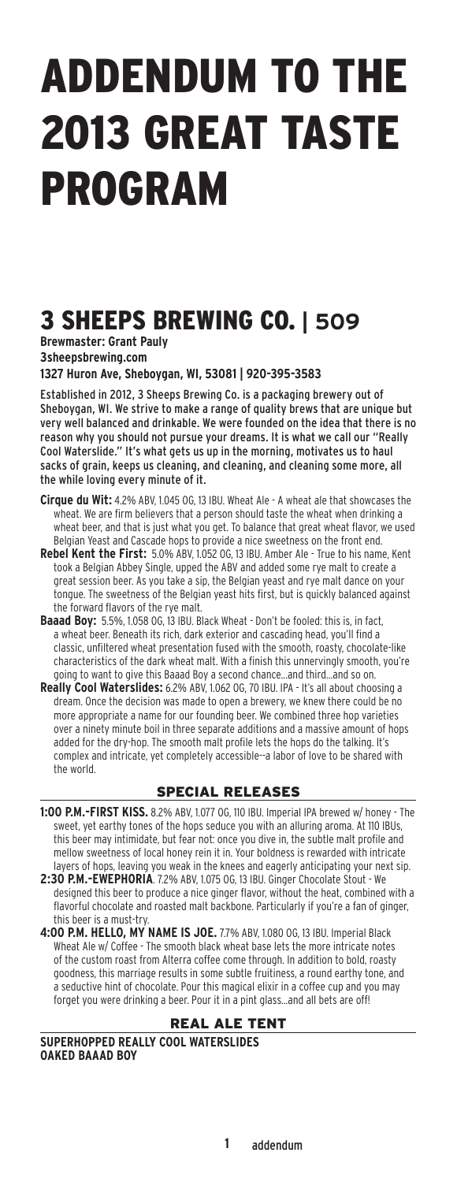# Addendum to the 2013 Great Taste Program

# 3 Sheeps Brewing Co. **| 509**

**Brewmaster: Grant Pauly 3sheepsbrewing.com** 

**1327 Huron Ave, Sheboygan, WI, 53081 | 920-395-3583**

Established in 2012, 3 Sheeps Brewing Co. is a packaging brewery out of Sheboygan, WI. We strive to make a range of quality brews that are unique but very well balanced and drinkable. We were founded on the idea that there is no reason why you should not pursue your dreams. It is what we call our "Really Cool Waterslide." It's what gets us up in the morning, motivates us to haul sacks of grain, keeps us cleaning, and cleaning, and cleaning some more, all the while loving every minute of it.

- **Cirque du Wit:** 4.2% ABV, 1.045 OG, 13 IBU. Wheat Ale A wheat ale that showcases the wheat. We are firm believers that a person should taste the wheat when drinking a wheat beer, and that is just what you get. To balance that great wheat flavor, we used Belgian Yeast and Cascade hops to provide a nice sweetness on the front end.
- **Rebel Kent the First:** 5.0% ABV, 1.052 OG, 13 IBU. Amber Ale True to his name, Kent took a Belgian Abbey Single, upped the ABV and added some rye malt to create a great session beer. As you take a sip, the Belgian yeast and rye malt dance on your tongue. The sweetness of the Belgian yeast hits first, but is quickly balanced against the forward flavors of the rye malt.
- **Baaad Boy:** 5.5%, 1.058 OG, 13 IBU. Black Wheat Don't be fooled: this is, in fact, a wheat beer. Beneath its rich, dark exterior and cascading head, you'll find a classic, unfiltered wheat presentation fused with the smooth, roasty, chocolate-like characteristics of the dark wheat malt. With a finish this unnervingly smooth, you're going to want to give this Baaad Boy a second chance...and third...and so on.
- **Really Cool Waterslides:** 6.2% ABV, 1.062 OG, 70 IBU. IPA It's all about choosing a dream. Once the decision was made to open a brewery, we knew there could be no more appropriate a name for our founding beer. We combined three hop varieties over a ninety minute boil in three separate additions and a massive amount of hops added for the dry-hop. The smooth malt profile lets the hops do the talking. It's complex and intricate, yet completely accessible--a labor of love to be shared with the world.

### Special ReleaseS

- **1:00 P.M.-First Kiss.** 8.2% ABV, 1.077 OG, 110 IBU. Imperial IPA brewed w/ honey The sweet, yet earthy tones of the hops seduce you with an alluring aroma. At 110 IBUs, this beer may intimidate, but fear not: once you dive in, the subtle malt profile and mellow sweetness of local honey rein it in. Your boldness is rewarded with intricate layers of hops, leaving you weak in the knees and eagerly anticipating your next sip.
- **2:30 P.M.-Ewephoria**. 7.2% ABV, 1.075 OG, 13 IBU. Ginger Chocolate Stout We designed this beer to produce a nice ginger flavor, without the heat, combined with a flavorful chocolate and roasted malt backbone. Particularly if you're a fan of ginger, this beer is a must-try.
- **4:00 P.M. Hello, My Name is Joe.** 7.7% ABV, 1.080 OG, 13 IBU. Imperial Black Wheat Ale w/ Coffee - The smooth black wheat base lets the more intricate notes of the custom roast from Alterra coffee come through. In addition to bold, roasty goodness, this marriage results in some subtle fruitiness, a round earthy tone, and a seductive hint of chocolate. Pour this magical elixir in a coffee cup and you may forget you were drinking a beer. Pour it in a pint glass...and all bets are off!

#### Real Ale tent

**Superhopped Really Cool Waterslides Oaked Baaad Boy**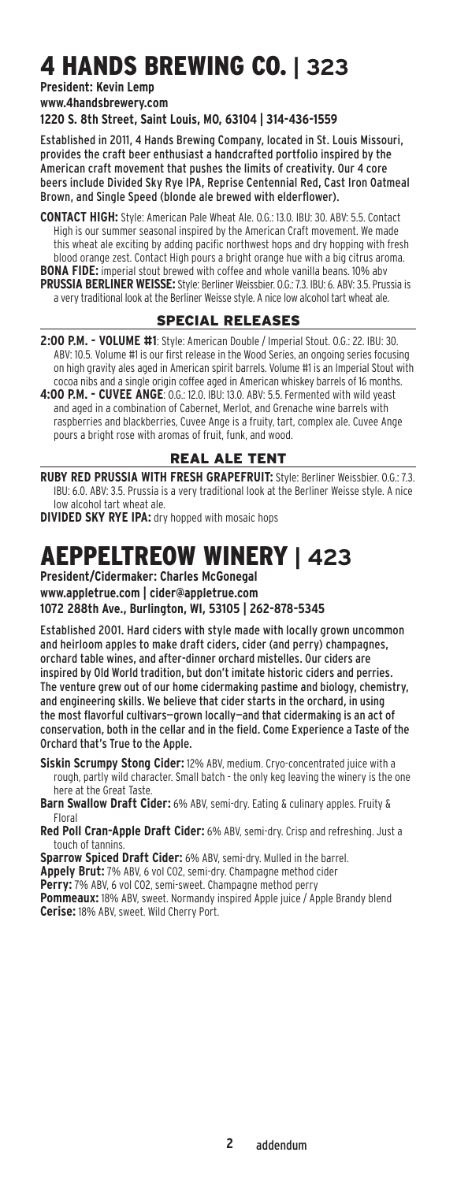# 4 Hands Brewing Co. **| 323**

#### **President: Kevin Lemp**

**www.4handsbrewery.com** 

**1220 S. 8th Street, Saint Louis, MO, 63104 | 314-436-1559**

Established in 2011, 4 Hands Brewing Company, located in St. Louis Missouri, provides the craft beer enthusiast a handcrafted portfolio inspired by the American craft movement that pushes the limits of creativity. Our 4 core beers include Divided Sky Rye IPA, Reprise Centennial Red, Cast Iron Oatmeal Brown, and Single Speed (blonde ale brewed with elderflower).

**Contact High:** Style: American Pale Wheat Ale. O.G.: 13.0. IBU: 30. ABV: 5.5. Contact High is our summer seasonal inspired by the American Craft movement. We made this wheat ale exciting by adding pacific northwest hops and dry hopping with fresh blood orange zest. Contact High pours a bright orange hue with a big citrus aroma. **BONA FIDE:** imperial stout brewed with coffee and whole vanilla beans. 10% abv **Prussia Berliner Weisse:** Style: Berliner Weissbier. O.G.: 7.3. IBU: 6. ABV: 3.5. Prussia is a very traditional look at the Berliner Weisse style. A nice low alcohol tart wheat ale.

### Special ReleaseS

**2:00 P.M. - Volume #1**: Style: American Double / Imperial Stout. O.G.: 22. IBU: 30. ABV: 10.5. Volume #1 is our first release in the Wood Series, an ongoing series focusing on high gravity ales aged in American spirit barrels. Volume #1 is an Imperial Stout with cocoa nibs and a single origin coffee aged in American whiskey barrels of 16 months.

**4:00 P.M. - Cuvee Ange**: O.G.: 12.0. IBU: 13.0. ABV: 5.5. Fermented with wild yeast and aged in a combination of Cabernet, Merlot, and Grenache wine barrels with raspberries and blackberries, Cuvee Ange is a fruity, tart, complex ale. Cuvee Ange pours a bright rose with aromas of fruit, funk, and wood.

#### Real Ale tent

**ruby red Prussia with Fresh grapefruit:** Style: Berliner Weissbier. O.G.: 7.3. IBU: 6.0. ABV: 3.5. Prussia is a very traditional look at the Berliner Weisse style. A nice low alcohol tart wheat ale.

**Divided Sky Rye IPA:** dry hopped with mosaic hops

### Aeppeltreow Winery **| 423**

**President/Cidermaker: Charles McGonegal www.appletrue.com | cider@appletrue.com 1072 288th Ave., Burlington, WI, 53105 | 262-878-5345**

Established 2001. Hard ciders with style made with locally grown uncommon and heirloom apples to make draft ciders, cider (and perry) champagnes, orchard table wines, and after-dinner orchard mistelles. Our ciders are inspired by Old World tradition, but don't imitate historic ciders and perries. The venture grew out of our home cidermaking pastime and biology, chemistry, and engineering skills. We believe that cider starts in the orchard, in using the most flavorful cultivars—grown locally—and that cidermaking is an act of conservation, both in the cellar and in the field. Come Experience a Taste of the Orchard that's True to the Apple.

**Siskin Scrumpy Stong Cider:** 12% ABV, medium. Cryo-concentrated juice with a rough, partly wild character. Small batch - the only keg leaving the winery is the one here at the Great Taste.

**Barn Swallow Draft Cider:** 6% ABV, semi-dry. Eating & culinary apples. Fruity & Floral

**Red Poll Cran-Apple Draft Cider:** 6% ABV, semi-dry. Crisp and refreshing. Just a touch of tannins.

**Sparrow Spiced Draft Cider:** 6% ABV, semi-dry. Mulled in the barrel.

**Appely Brut:** 7% ABV, 6 vol CO2, semi-dry. Champagne method cider

**Perry:** 7% ABV, 6 vol CO2, semi-sweet. Champagne method perry

**Pommeaux:** 18% ABV, sweet. Normandy inspired Apple juice / Apple Brandy blend **Cerise:** 18% ABV, sweet. Wild Cherry Port.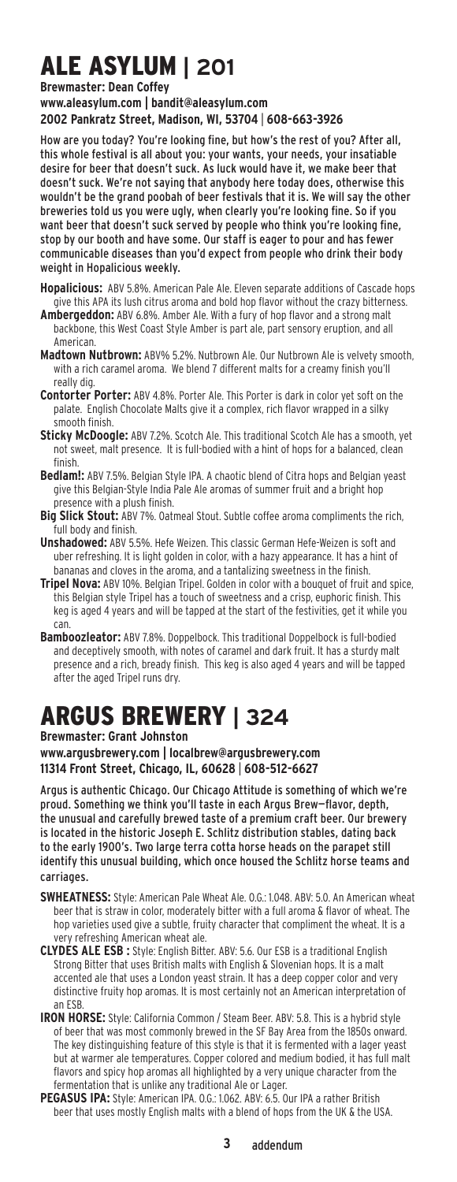# Ale Asylum **| 201**

**Brewmaster: Dean Coffey** 

**www.aleasylum.com | bandit@aleasylum.com 2002 Pankratz Street, Madison, WI, 53704** | **608-663-3926**

How are you today? You're looking fine, but how's the rest of you? After all, this whole festival is all about you: your wants, your needs, your insatiable desire for beer that doesn't suck. As luck would have it, we make beer that doesn't suck. We're not saying that anybody here today does, otherwise this wouldn't be the grand poobah of beer festivals that it is. We will say the other breweries told us you were ugly, when clearly you're looking fine. So if you want beer that doesn't suck served by people who think you're looking fine, stop by our booth and have some. Our staff is eager to pour and has fewer communicable diseases than you'd expect from people who drink their body weight in Hopalicious weekly.

- **Hopalicious:** ABV 5.8%. American Pale Ale. Eleven separate additions of Cascade hops give this APA its lush citrus aroma and bold hop flavor without the crazy bitterness.
- **Ambergeddon:** ABV 6.8%. Amber Ale. With a fury of hop flavor and a strong malt backbone, this West Coast Style Amber is part ale, part sensory eruption, and all American.
- **Madtown Nutbrown:** ABV% 5.2%. Nutbrown Ale. Our Nutbrown Ale is velvety smooth, with a rich caramel aroma. We blend 7 different malts for a creamy finish you'll really dig.
- **Contorter Porter:** ABV 4.8%. Porter Ale. This Porter is dark in color yet soft on the palate. English Chocolate Malts give it a complex, rich flavor wrapped in a silky smooth finish.
- **Sticky McDoogle:** ABV 7.2%. Scotch Ale. This traditional Scotch Ale has a smooth, yet not sweet, malt presence. It is full-bodied with a hint of hops for a balanced, clean finish.
- **Bedlam!:** ABV 7.5%. Belgian Style IPA. A chaotic blend of Citra hops and Belgian yeast give this Belgian-Style India Pale Ale aromas of summer fruit and a bright hop presence with a plush finish.
- **Big Slick Stout:** ABV 7%. Oatmeal Stout. Subtle coffee aroma compliments the rich, full body and finish.
- **Unshadowed:** ABV 5.5%. Hefe Weizen. This classic German Hefe-Weizen is soft and uber refreshing. It is light golden in color, with a hazy appearance. It has a hint of bananas and cloves in the aroma, and a tantalizing sweetness in the finish.
- **Tripel Nova:** ABV 10%. Belgian Tripel. Golden in color with a bouquet of fruit and spice, this Belgian style Tripel has a touch of sweetness and a crisp, euphoric finish. This keg is aged 4 years and will be tapped at the start of the festivities, get it while you can.
- **Bamboozleator:** ABV 7.8%. Doppelbock. This traditional Doppelbock is full-bodied and deceptively smooth, with notes of caramel and dark fruit. It has a sturdy malt presence and a rich, bready finish. This keg is also aged 4 years and will be tapped after the aged Tripel runs dry.

# Argus Brewery **| 324**

**Brewmaster: Grant Johnston** 

**www.argusbrewery.com | localbrew@argusbrewery.com 11314 Front Street, Chicago, IL, 60628** | **608-512-6627**

Argus is authentic Chicago. Our Chicago Attitude is something of which we're proud. Something we think you'll taste in each Argus Brew—flavor, depth, the unusual and carefully brewed taste of a premium craft beer. Our brewery is located in the historic Joseph E. Schlitz distribution stables, dating back to the early 1900's. Two large terra cotta horse heads on the parapet still identify this unusual building, which once housed the Schlitz horse teams and carriages.

- **SWHEATNESS:** Style: American Pale Wheat Ale. 0.G.: 1.048. ABV: 5.0. An American wheat beer that is straw in color, moderately bitter with a full aroma & flavor of wheat. The hop varieties used give a subtle, fruity character that compliment the wheat. It is a very refreshing American wheat ale.
- **Clydes Ale ESB :** Style: English Bitter. ABV: 5.6. Our ESB is a traditional English Strong Bitter that uses British malts with English & Slovenian hops. It is a malt accented ale that uses a London yeast strain. It has a deep copper color and very distinctive fruity hop aromas. It is most certainly not an American interpretation of an ESB.
- **IRON HORSE:** Style: California Common / Steam Beer. ABV: 5.8. This is a hybrid style of beer that was most commonly brewed in the SF Bay Area from the 1850s onward. The key distinguishing feature of this style is that it is fermented with a lager yeast but at warmer ale temperatures. Copper colored and medium bodied, it has full malt flavors and spicy hop aromas all highlighted by a very unique character from the fermentation that is unlike any traditional Ale or Lager.
- **Pegasus IPA:** Style: American IPA. O.G.: 1.062. ABV: 6.5. Our IPA a rather British beer that uses mostly English malts with a blend of hops from the UK & the USA.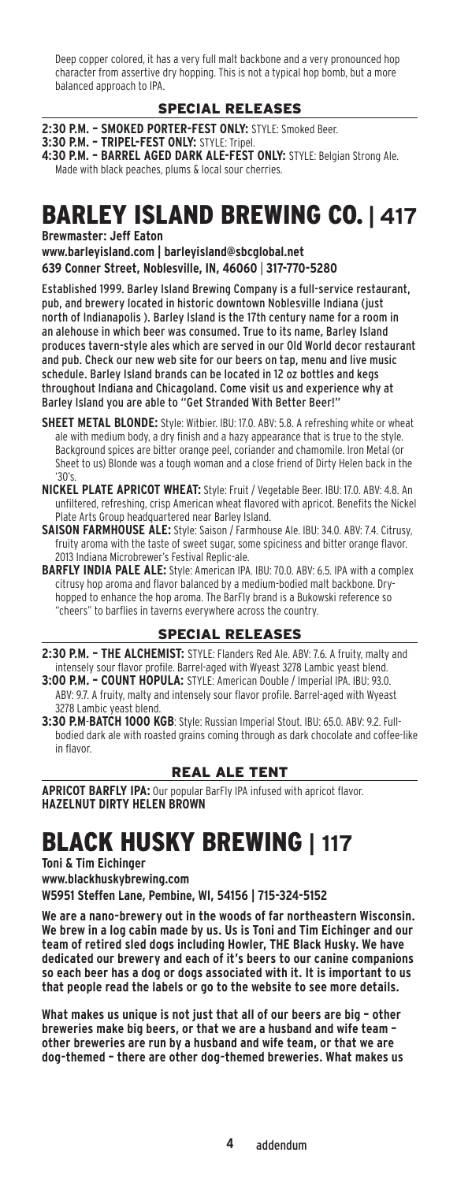Deep copper colored, it has a very full malt backbone and a very pronounced hop character from assertive dry hopping. This is not a typical hop bomb, but a more balanced approach to IPA.

### Special ReleaseS

**2:30 P.M. – Smoked Porter-fest only:** STYLE: Smoked Beer.

- **3:30 P.M. Tripel-fest only:** STYLE: Tripel. **4:30 P.M. – Barrel aged dark ale-fest only:** STYLE: Belgian Strong Ale.
- Made with black peaches, plums & local sour cherries.

### Barley Island Brewing Co. **| 417**

**Brewmaster: Jeff Eaton** 

**www.barleyisland.com | barleyisland@sbcglobal.net 639 Conner Street, Noblesville, IN, 46060** | **317-770-5280**

Established 1999. Barley Island Brewing Company is a full-service restaurant, pub, and brewery located in historic downtown Noblesville Indiana (just north of Indianapolis ). Barley Island is the 17th century name for a room in an alehouse in which beer was consumed. True to its name, Barley Island produces tavern-style ales which are served in our Old World decor restaurant and pub. Check our new web site for our beers on tap, menu and live music schedule. Barley Island brands can be located in 12 oz bottles and kegs throughout Indiana and Chicagoland. Come visit us and experience why at Barley Island you are able to "Get Stranded With Better Beer!"

- **SHEET METAL BLONDE:** Style: Witbier. IBU: 17.0. ABV: 5.8. A refreshing white or wheat ale with medium body, a dry finish and a hazy appearance that is true to the style. Background spices are bitter orange peel, coriander and chamomile. Iron Metal (or Sheet to us) Blonde was a tough woman and a close friend of Dirty Helen back in the '30's.
- **Nickel Plate Apricot Wheat:** Style: Fruit / Vegetable Beer. IBU: 17.0. ABV: 4.8. An unfiltered, refreshing, crisp American wheat flavored with apricot. Benefits the Nickel Plate Arts Group headquartered near Barley Island.
- **Saison Farmhouse Ale:** Style: Saison / Farmhouse Ale. IBU: 34.0. ABV: 7.4. Citrusy, fruity aroma with the taste of sweet sugar, some spiciness and bitter orange flavor. 2013 Indiana Microbrewer's Festival Replic-ale.

**Barfly India Pale Ale:** Style: American IPA. IBU: 70.0. ABV: 6.5. IPA with a complex citrusy hop aroma and flavor balanced by a medium-bodied malt backbone. Dryhopped to enhance the hop aroma. The BarFly brand is a Bukowski reference so "cheers" to barflies in taverns everywhere across the country.

#### Special ReleaseS

- **2:30 P.M. The Alchemist:** STYLE: Flanders Red Ale. ABV: 7.6. A fruity, malty and intensely sour flavor profile. Barrel-aged with Wyeast 3278 Lambic yeast blend.
- **3:00 P.M. Count Hopula:** STYLE: American Double / Imperial IPA. IBU: 93.0. ABV: 9.7. A fruity, malty and intensely sour flavor profile. Barrel-aged with Wyeast 3278 Lambic yeast blend.
- **3:30 P.M**-**Batch 1000 KGB**: Style: Russian Imperial Stout. IBU: 65.0. ABV: 9.2. Fullbodied dark ale with roasted grains coming through as dark chocolate and coffee-like in flavor.

### Real Ale tent

**Apricot Barfly IPA:** Our popular BarFly IPA infused with apricot flavor. **HAZELNUT DIRTY HELEN BROW** 

## Black Husky Brewing **| 117**

**Toni & Tim Eichinger** 

**www.blackhuskybrewing.com** 

**W5951 Steffen Lane, Pembine, WI, 54156 | 715-324-5152**

**We are a nano-brewery out in the woods of far northeastern Wisconsin. We brew in a log cabin made by us. Us is Toni and Tim Eichinger and our team of retired sled dogs including Howler, THE Black Husky. We have dedicated our brewery and each of it's beers to our canine companions so each beer has a dog or dogs associated with it. It is important to us that people read the labels or go to the website to see more details.**

**What makes us unique is not just that all of our beers are big – other breweries make big beers, or that we are a husband and wife team – other breweries are run by a husband and wife team, or that we are dog-themed – there are other dog-themed breweries. What makes us**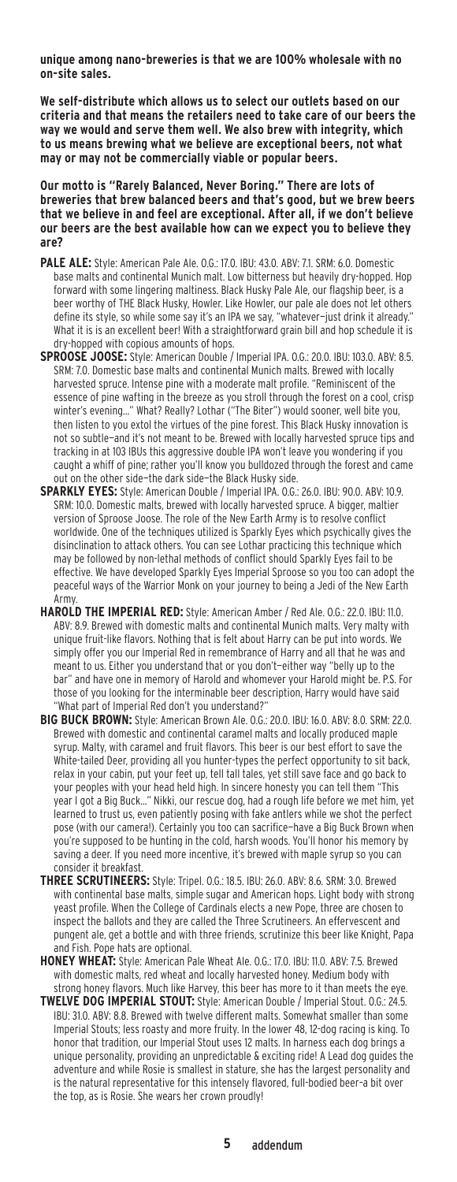**unique among nano-breweries is that we are 100% wholesale with no on-site sales.**

**We self-distribute which allows us to select our outlets based on our criteria and that means the retailers need to take care of our beers the way we would and serve them well. We also brew with integrity, which to us means brewing what we believe are exceptional beers, not what may or may not be commercially viable or popular beers.**

**Our motto is "Rarely Balanced, Never Boring." There are lots of breweries that brew balanced beers and that's good, but we brew beers that we believe in and feel are exceptional. After all, if we don't believe our beers are the best available how can we expect you to believe they are?**

- **Pale Ale:** Style: American Pale Ale. O.G.: 17.0. IBU: 43.0. ABV: 7.1. SRM: 6.0. Domestic base malts and continental Munich malt. Low bitterness but heavily dry-hopped. Hop forward with some lingering maltiness. Black Husky Pale Ale, our flagship beer, is a beer worthy of THE Black Husky, Howler. Like Howler, our pale ale does not let others define its style, so while some say it's an IPA we say, "whatever-just drink it already.' What it is is an excellent beer! With a straightforward grain bill and hop schedule it is dry-hopped with copious amounts of hops.
- **Sproose Joose:** Style: American Double / Imperial IPA. O.G.: 20.0. IBU: 103.0. ABV: 8.5. SRM: 7.0. Domestic base malts and continental Munich malts. Brewed with locally harvested spruce. Intense pine with a moderate malt profile. "Reminiscent of the essence of pine wafting in the breeze as you stroll through the forest on a cool, crisp winter's evening…" What? Really? Lothar ("The Biter") would sooner, well bite you, then listen to you extol the virtues of the pine forest. This Black Husky innovation is not so subtle—and it's not meant to be. Brewed with locally harvested spruce tips and tracking in at 103 IBUs this aggressive double IPA won't leave you wondering if you caught a whiff of pine; rather you'll know you bulldozed through the forest and came out on the other side—the dark side—the Black Husky side.
- **Sparkly Eyes:** Style: American Double / Imperial IPA. O.G.: 26.0. IBU: 90.0. ABV: 10.9. SRM: 10.0. Domestic malts, brewed with locally harvested spruce. A bigger, maltier version of Sproose Joose. The role of the New Earth Army is to resolve conflict worldwide. One of the techniques utilized is Sparkly Eyes which psychically gives the disinclination to attack others. You can see Lothar practicing this technique which may be followed by non-lethal methods of conflict should Sparkly Eyes fail to be effective. We have developed Sparkly Eyes Imperial Sproose so you too can adopt the peaceful ways of the Warrior Monk on your journey to being a Jedi of the New Earth Army.
- **Harold The Imperial Red:** Style: American Amber / Red Ale. O.G.: 22.0. IBU: 11.0. ABV: 8.9. Brewed with domestic malts and continental Munich malts. Very malty with unique fruit-like flavors. Nothing that is felt about Harry can be put into words. We simply offer you our Imperial Red in remembrance of Harry and all that he was and meant to us. Either you understand that or you don't—either way "belly up to the bar" and have one in memory of Harold and whomever your Harold might be. P.S. For those of you looking for the interminable beer description, Harry would have said "What part of Imperial Red don't you understand?"
- **Big Buck Brown:** Style: American Brown Ale. O.G.: 20.0. IBU: 16.0. ABV: 8.0. SRM: 22.0. Brewed with domestic and continental caramel malts and locally produced maple syrup. Malty, with caramel and fruit flavors. This beer is our best effort to save the White-tailed Deer, providing all you hunter-types the perfect opportunity to sit back, relax in your cabin, put your feet up, tell tall tales, yet still save face and go back to your peoples with your head held high. In sincere honesty you can tell them "This year I got a Big Buck…" Nikki, our rescue dog, had a rough life before we met him, yet learned to trust us, even patiently posing with fake antlers while we shot the perfect pose (with our camera!). Certainly you too can sacrifice—have a Big Buck Brown when you're supposed to be hunting in the cold, harsh woods. You'll honor his memory by saving a deer. If you need more incentive, it's brewed with maple syrup so you can consider it breakfast.
- **Three Scrutineers:** Style: Tripel. O.G.: 18.5. IBU: 26.0. ABV: 8.6. SRM: 3.0. Brewed with continental base malts, simple sugar and American hops. Light body with strong yeast profile. When the College of Cardinals elects a new Pope, three are chosen to inspect the ballots and they are called the Three Scrutineers. An effervescent and pungent ale, get a bottle and with three friends, scrutinize this beer like Knight, Papa and Fish. Pope hats are optional.
- **Honey Wheat:** Style: American Pale Wheat Ale. O.G.: 17.0. IBU: 11.0. ABV: 7.5. Brewed with domestic malts, red wheat and locally harvested honey. Medium body with strong honey flavors. Much like Harvey, this beer has more to it than meets the eye.
- **Twelve Dog Imperial Stout:** Style: American Double / Imperial Stout. O.G.: 24.5. IBU: 31.0. ABV: 8.8. Brewed with twelve different malts. Somewhat smaller than some Imperial Stouts; less roasty and more fruity. In the lower 48, 12-dog racing is king. To honor that tradition, our Imperial Stout uses 12 malts. In harness each dog brings a unique personality, providing an unpredictable & exciting ride! A Lead dog guides the adventure and while Rosie is smallest in stature, she has the largest personality and is the natural representative for this intensely flavored, full-bodied beer–a bit over the top, as is Rosie. She wears her crown proudly!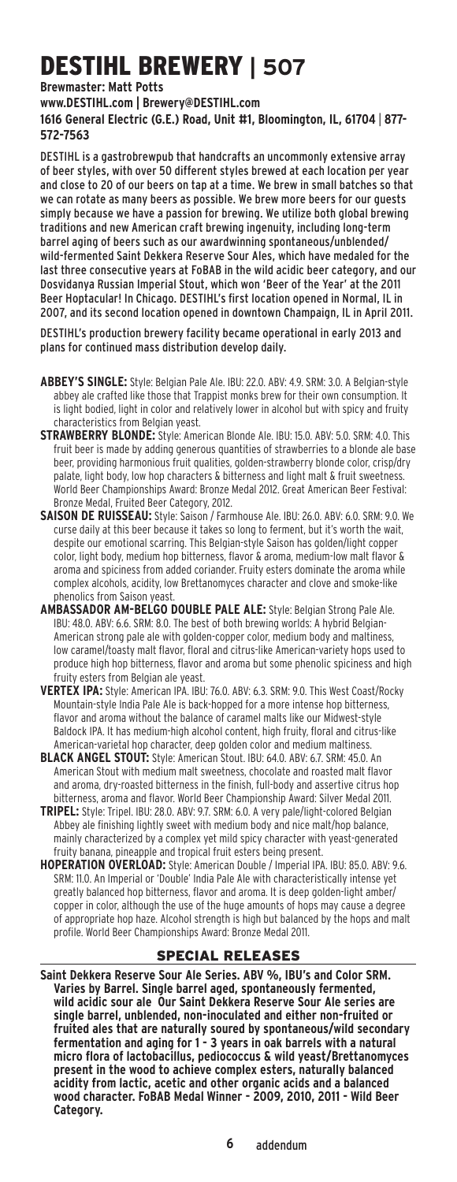# DESTIHL Brewery **| 507**

### **Brewmaster: Matt Potts**

**www.DESTIHL.com | Brewery@DESTIHL.com**

**1616 General Electric (G.E.) Road, Unit #1, Bloomington, IL, 61704** | **877- 572-7563**

DESTIHL is a gastrobrewpub that handcrafts an uncommonly extensive array of beer styles, with over 50 different styles brewed at each location per year and close to 20 of our beers on tap at a time. We brew in small batches so that we can rotate as many beers as possible. We brew more beers for our guests simply because we have a passion for brewing. We utilize both global brewing traditions and new American craft brewing ingenuity, including long-term barrel aging of beers such as our awardwinning spontaneous/unblended/ wild-fermented Saint Dekkera Reserve Sour Ales, which have medaled for the last three consecutive years at FoBAB in the wild acidic beer category, and our Dosvidanya Russian Imperial Stout, which won 'Beer of the Year' at the 2011 Beer Hoptacular! In Chicago. DESTIHL's first location opened in Normal, IL in 2007, and its second location opened in downtown Champaign, IL in April 2011.

DESTIHL's production brewery facility became operational in early 2013 and plans for continued mass distribution develop daily.

- **Abbey's Single:** Style: Belgian Pale Ale. IBU: 22.0. ABV: 4.9. SRM: 3.0. A Belgian-style abbey ale crafted like those that Trappist monks brew for their own consumption. It is light bodied, light in color and relatively lower in alcohol but with spicy and fruity characteristics from Belgian yeast.
- **Strawberry Blonde:** Style: American Blonde Ale. IBU: 15.0. ABV: 5.0. SRM: 4.0. This fruit beer is made by adding generous quantities of strawberries to a blonde ale base beer, providing harmonious fruit qualities, golden-strawberry blonde color, crisp/dry palate, light body, low hop characters & bitterness and light malt & fruit sweetness. World Beer Championships Award: Bronze Medal 2012. Great American Beer Festival: Bronze Medal, Fruited Beer Category, 2012.
- **Saison de Ruisseau:** Style: Saison / Farmhouse Ale. IBU: 26.0. ABV: 6.0. SRM: 9.0. We curse daily at this beer because it takes so long to ferment, but it's worth the wait, despite our emotional scarring. This Belgian-style Saison has golden/light copper color, light body, medium hop bitterness, flavor & aroma, medium-low malt flavor & aroma and spiciness from added coriander. Fruity esters dominate the aroma while complex alcohols, acidity, low Brettanomyces character and clove and smoke-like phenolics from Saison yeast.
- **Ambassador Am-Belgo Double Pale Ale:** Style: Belgian Strong Pale Ale. IBU: 48.0. ABV: 6.6. SRM: 8.0. The best of both brewing worlds: A hybrid Belgian-American strong pale ale with golden-copper color, medium body and maltiness, low caramel/toasty malt flavor, floral and citrus-like American-variety hops used to produce high hop bitterness, flavor and aroma but some phenolic spiciness and high fruity esters from Belgian ale yeast.
- **Vertex IPA:** Style: American IPA. IBU: 76.0. ABV: 6.3. SRM: 9.0. This West Coast/Rocky Mountain-style India Pale Ale is back-hopped for a more intense hop bitterness, flavor and aroma without the balance of caramel malts like our Midwest-style Baldock IPA. It has medium-high alcohol content, high fruity, floral and citrus-like American-varietal hop character, deep golden color and medium maltiness.
- **Black Angel Stout:** Style: American Stout. IBU: 64.0. ABV: 6.7. SRM: 45.0. An American Stout with medium malt sweetness, chocolate and roasted malt flavor and aroma, dry-roasted bitterness in the finish, full-body and assertive citrus hop bitterness, aroma and flavor. World Beer Championship Award: Silver Medal 2011.
- **Tripel:** Style: Tripel. IBU: 28.0. ABV: 9.7. SRM: 6.0. A very pale/light-colored Belgian Abbey ale finishing lightly sweet with medium body and nice malt/hop balance, mainly characterized by a complex yet mild spicy character with yeast-generated fruity banana, pineapple and tropical fruit esters being present.
- **Hoperation Overload:** Style: American Double / Imperial IPA. IBU: 85.0. ABV: 9.6. SRM: 11.0. An Imperial or 'Double' India Pale Ale with characteristically intense yet greatly balanced hop bitterness, flavor and aroma. It is deep golden-light amber/ copper in color, although the use of the huge amounts of hops may cause a degree of appropriate hop haze. Alcohol strength is high but balanced by the hops and malt profile. World Beer Championships Award: Bronze Medal 2011.

#### Special ReleaseS

**Saint Dekkera Reserve Sour Ale Series. ABV %, IBU's and Color SRM. Varies by Barrel. Single barrel aged, spontaneously fermented, wild acidic sour ale Our Saint Dekkera Reserve Sour Ale series are single barrel, unblended, non-inoculated and either non-fruited or fruited ales that are naturally soured by spontaneous/wild secondary fermentation and aging for 1 - 3 years in oak barrels with a natural micro flora of lactobacillus, pediococcus & wild yeast/Brettanomyces present in the wood to achieve complex esters, naturally balanced acidity from lactic, acetic and other organic acids and a balanced wood character. FoBAB Medal Winner - 2009, 2010, 2011 - Wild Beer Category.**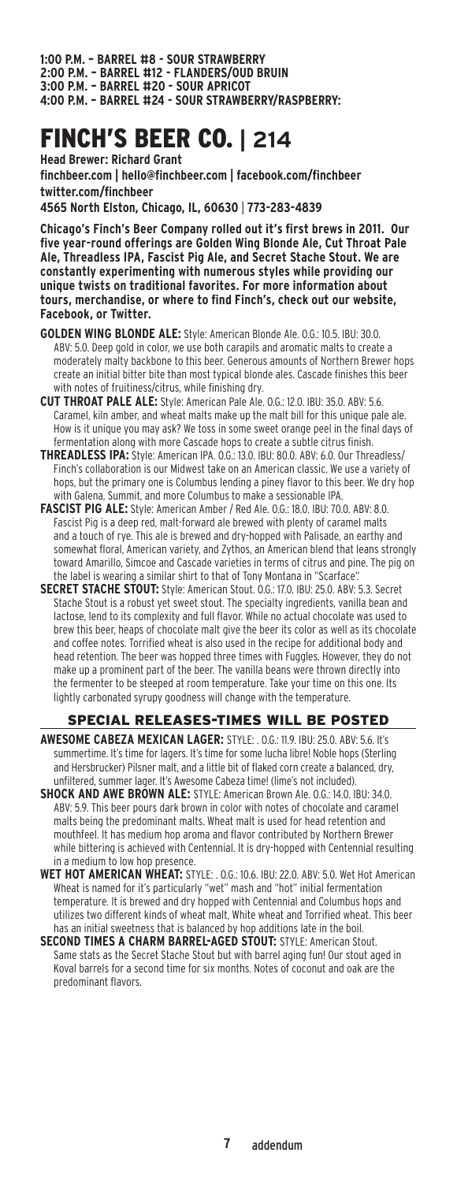**1:00 P.M. – Barrel #8 - Sour Strawberry 2:00 P.M. – Barrel #12 - Flanders/Oud Bruin 3:00 P.M. – Barrel #20 - Sour Apricot 4:00 P.M. – Barrel #24 - Sour Strawberry/Raspberry:** 

## Finch's Beer Co. **| 214**

**Head Brewer: Richard Grant finchbeer.com | hello@finchbeer.com | facebook.com/finchbeer twitter.com/finchbeer 4565 North Elston, Chicago, IL, 60630** | **773-283-4839**

**Chicago's Finch's Beer Company rolled out it's first brews in 2011. Our five year-round offerings are Golden Wing Blonde Ale, Cut Throat Pale Ale, Threadless IPA, Fascist Pig Ale, and Secret Stache Stout. We are constantly experimenting with numerous styles while providing our unique twists on traditional favorites. For more information about tours, merchandise, or where to find Finch's, check out our website, Facebook, or Twitter.**

- **Golden Wing Blonde Ale:** Style: American Blonde Ale. O.G.: 10.5. IBU: 30.0. ABV: 5.0. Deep gold in color, we use both carapils and aromatic malts to create a moderately malty backbone to this beer. Generous amounts of Northern Brewer hops create an initial bitter bite than most typical blonde ales. Cascade finishes this beer with notes of fruitiness/citrus, while finishing dry.
- **Cut Throat Pale Ale:** Style: American Pale Ale. O.G.: 12.0. IBU: 35.0. ABV: 5.6. Caramel, kiln amber, and wheat malts make up the malt bill for this unique pale ale. How is it unique you may ask? We toss in some sweet orange peel in the final days of fermentation along with more Cascade hops to create a subtle citrus finish.
- **THREADLESS IPA:** Style: American IPA. 0.G.: 13.0. IBU: 80.0. ABV: 6.0. Our Threadless/ Finch's collaboration is our Midwest take on an American classic. We use a variety of hops, but the primary one is Columbus lending a piney flavor to this beer. We dry hop with Galena, Summit, and more Columbus to make a sessionable IPA.
- **Fascist Pig Ale:** Style: American Amber / Red Ale. O.G.: 18.0. IBU: 70.0. ABV: 8.0. Fascist Pig is a deep red, malt-forward ale brewed with plenty of caramel malts and a touch of rye. This ale is brewed and dry-hopped with Palisade, an earthy and somewhat floral, American variety, and Zythos, an American blend that leans strongly toward Amarillo, Simcoe and Cascade varieties in terms of citrus and pine. The pig on the label is wearing a similar shirt to that of Tony Montana in "Scarface".
- **Secret Stache Stout:** Style: American Stout. O.G.: 17.0. IBU: 25.0. ABV: 5.3. Secret Stache Stout is a robust yet sweet stout. The specialty ingredients, vanilla bean and lactose, lend to its complexity and full flavor. While no actual chocolate was used to brew this beer, heaps of chocolate malt give the beer its color as well as its chocolate and coffee notes. Torrified wheat is also used in the recipe for additional body and head retention. The beer was hopped three times with Fuggles. However, they do not make up a prominent part of the beer. The vanilla beans were thrown directly into the fermenter to be steeped at room temperature. Take your time on this one. Its lightly carbonated syrupy goodness will change with the temperature.

### Special ReleaseS-times will be posted

- **Awesome Cabeza Mexican Lager:** STYLE: . O.G.: 11.9. IBU: 25.0. ABV: 5.6. It's summertime. It's time for lagers. It's time for some lucha libre! Noble hops (Sterling and Hersbrucker) Pilsner malt, and a little bit of flaked corn create a balanced, dry, unfiltered, summer lager. It's Awesome Cabeza time! (lime's not included).
- **Shock and Awe Brown Ale:** STYLE: American Brown Ale. O.G.: 14.0. IBU: 34.0. ABV: 5.9. This beer pours dark brown in color with notes of chocolate and caramel malts being the predominant malts. Wheat malt is used for head retention and mouthfeel. It has medium hop aroma and flavor contributed by Northern Brewer while bittering is achieved with Centennial. It is dry-hopped with Centennial resulting in a medium to low hop presence.
- **Wet Hot American Wheat:** STYLE: . O.G.: 10.6. IBU: 22.0. ABV: 5.0. Wet Hot American Wheat is named for it's particularly "wet" mash and "hot" initial fermentation temperature. It is brewed and dry hopped with Centennial and Columbus hops and utilizes two different kinds of wheat malt, White wheat and Torrified wheat. This beer has an initial sweetness that is balanced by hop additions late in the boil.
- **Second Times a Charm Barrel-Aged Stout:** STYLE: American Stout. Same stats as the Secret Stache Stout but with barrel aging fun! Our stout aged in Koval barrels for a second time for six months. Notes of coconut and oak are the predominant flavors.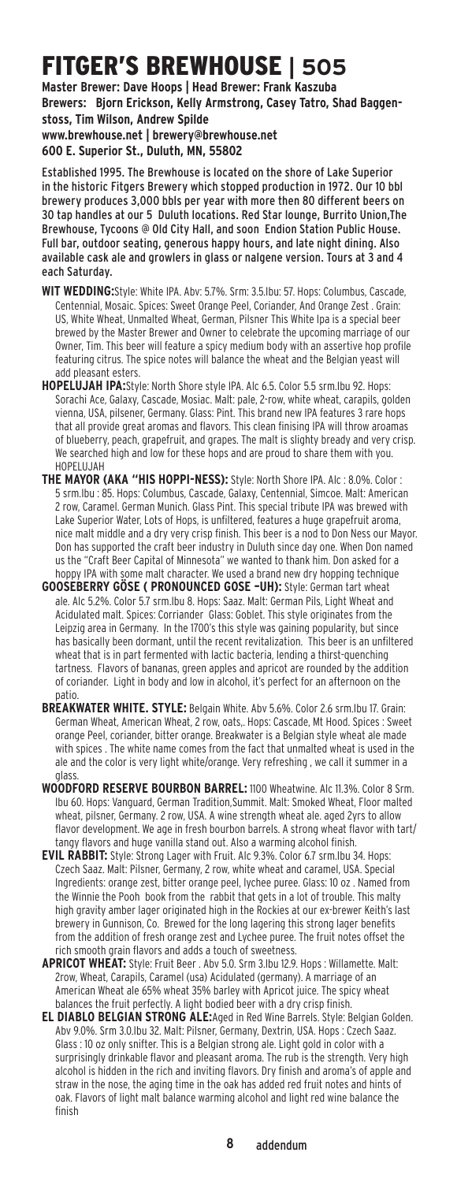# Fitger's Brewhouse **| 505**

**Master Brewer: Dave Hoops | Head Brewer: Frank Kaszuba Brewers: Bjorn Erickson, Kelly Armstrong, Casey Tatro, Shad Baggenstoss, Tim Wilson, Andrew Spilde www.brewhouse.net | brewery@brewhouse.net** 

**600 E. Superior St., Duluth, MN, 55802**

Established 1995. The Brewhouse is located on the shore of Lake Superior in the historic Fitgers Brewery which stopped production in 1972. Our 10 bbl brewery produces 3,000 bbls per year with more then 80 different beers on 30 tap handles at our 5 Duluth locations. Red Star lounge, Burrito Union,The Brewhouse, Tycoons @ Old City Hall, and soon Endion Station Public House. Full bar, outdoor seating, generous happy hours, and late night dining. Also available cask ale and growlers in glass or nalgene version. Tours at 3 and 4 each Saturday.

- **Wit Wedding:**Style: White IPA. Abv: 5.7%. Srm: 3.5.Ibu: 57. Hops: Columbus, Cascade, Centennial, Mosaic. Spices: Sweet Orange Peel, Coriander, And Orange Zest . Grain: US, White Wheat, Unmalted Wheat, German, Pilsner This White Ipa is a special beer brewed by the Master Brewer and Owner to celebrate the upcoming marriage of our Owner, Tim. This beer will feature a spicy medium body with an assertive hop profile featuring citrus. The spice notes will balance the wheat and the Belgian yeast will add pleasant esters.
- **Hopelujah IPA:**Style: North Shore style IPA. Alc 6.5. Color 5.5 srm.Ibu 92. Hops: Sorachi Ace, Galaxy, Cascade, Mosiac. Malt: pale, 2-row, white wheat, carapils, golden vienna, USA, pilsener, Germany. Glass: Pint. This brand new IPA features 3 rare hops that all provide great aromas and flavors. This clean finising IPA will throw aroamas of blueberry, peach, grapefruit, and grapes. The malt is slighty bready and very crisp. We searched high and low for these hops and are proud to share them with you. HOPELUJAH
- **The Mayor (aka "His Hoppi-ness):** Style: North Shore IPA. Alc : 8.0%. Color : 5 srm.Ibu : 85. Hops: Columbus, Cascade, Galaxy, Centennial, Simcoe. Malt: American 2 row, Caramel. German Munich. Glass Pint. This special tribute IPA was brewed with Lake Superior Water, Lots of Hops, is unfiltered, features a huge grapefruit aroma, nice malt middle and a dry very crisp finish. This beer is a nod to Don Ness our Mayor. Don has supported the craft beer industry in Duluth since day one. When Don named us the "Craft Beer Capital of Minnesota" we wanted to thank him. Don asked for a hoppy IPA with some malt character. We used a brand new dry hopping technique
- **Gooseberry Göse ( pronounced gose –uh):** Style: German tart wheat ale. Alc 5.2%. Color 5.7 srm.Ibu 8. Hops: Saaz. Malt: German Pils, Light Wheat and Acidulated malt. Spices: Corriander Glass: Goblet. This style originates from the Leipzig area in Germany. In the 1700's this style was gaining popularity, but since has basically been dormant, until the recent revitalization. This beer is an unfiltered wheat that is in part fermented with lactic bacteria, lending a thirst-quenching tartness. Flavors of bananas, green apples and apricot are rounded by the addition of coriander. Light in body and low in alcohol, it's perfect for an afternoon on the patio.
- **Breakwater White. Style:** Belgain White. Abv 5.6%. Color 2.6 srm.Ibu 17. Grain: German Wheat, American Wheat, 2 row, oats,. Hops: Cascade, Mt Hood. Spices : Sweet orange Peel, coriander, bitter orange. Breakwater is a Belgian style wheat ale made with spices . The white name comes from the fact that unmalted wheat is used in the ale and the color is very light white/orange. Very refreshing , we call it summer in a glass.
- **Woodford Reserve Bourbon Barrel:** 1100 Wheatwine. Alc 11.3%. Color 8 Srm. Ibu 60. Hops: Vanguard, German Tradition,Summit. Malt: Smoked Wheat, Floor malted wheat, pilsner, Germany. 2 row, USA. A wine strength wheat ale. aged 2yrs to allow flavor development. We age in fresh bourbon barrels. A strong wheat flavor with tart/ tangy flavors and huge vanilla stand out. Also a warming alcohol finish.
- **Evil Rabbit:** Style: Strong Lager with Fruit. Alc 9.3%. Color 6.7 srm.Ibu 34. Hops: Czech Saaz. Malt: Pilsner, Germany, 2 row, white wheat and caramel, USA. Special Ingredients: orange zest, bitter orange peel, lychee puree. Glass: 10 oz . Named from the Winnie the Pooh book from the rabbit that gets in a lot of trouble. This malty high gravity amber lager originated high in the Rockies at our ex-brewer Keith's last brewery in Gunnison, Co. Brewed for the long lagering this strong lager benefits from the addition of fresh orange zest and Lychee puree. The fruit notes offset the rich smooth grain flavors and adds a touch of sweetness.
- **Apricot Wheat:** Style: Fruit Beer . Abv 5.0. Srm 3.Ibu 12.9. Hops : Willamette. Malt: 2row, Wheat, Carapils, Caramel (usa) Acidulated (germany). A marriage of an American Wheat ale 65% wheat 35% barley with Apricot juice. The spicy wheat balances the fruit perfectly. A light bodied beer with a dry crisp finish.
- **EL Diablo Belgian Strong Ale:**Aged in Red Wine Barrels. Style: Belgian Golden. Abv 9.0%. Srm 3.0.Ibu 32. Malt: Pilsner, Germany, Dextrin, USA. Hops : Czech Saaz. Glass : 10 oz only snifter. This is a Belgian strong ale. Light gold in color with a surprisingly drinkable flavor and pleasant aroma. The rub is the strength. Very high alcohol is hidden in the rich and inviting flavors. Dry finish and aroma's of apple and straw in the nose, the aging time in the oak has added red fruit notes and hints of oak. Flavors of light malt balance warming alcohol and light red wine balance the finish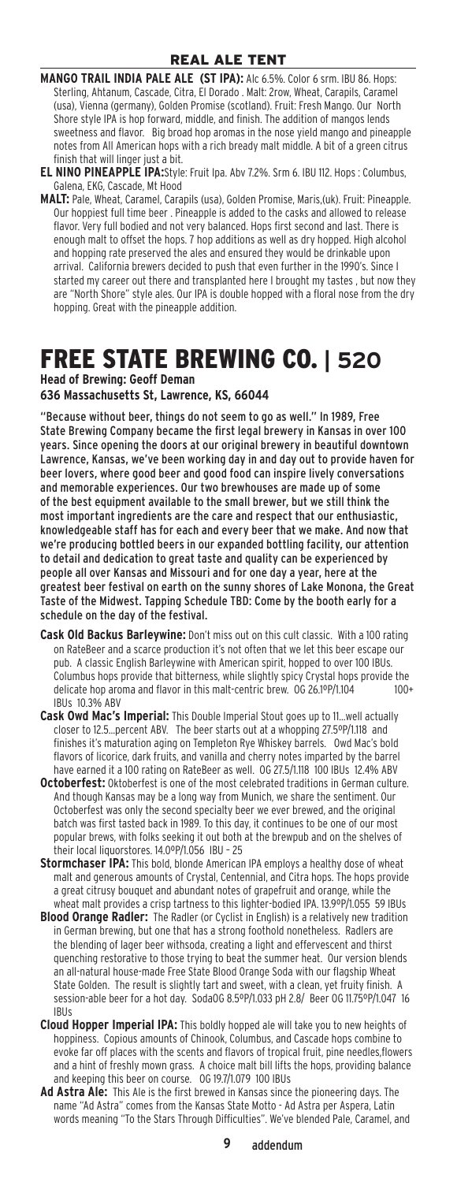**MANGO TRAIL INDIA PALE ALE (ST IPA):** Alc 6.5%. Color 6 srm. IBU 86. Hops: Sterling, Ahtanum, Cascade, Citra, El Dorado . Malt: 2row, Wheat, Carapils, Caramel (usa), Vienna (germany), Golden Promise (scotland). Fruit: Fresh Mango. Our North Shore style IPA is hop forward, middle, and finish. The addition of mangos lends sweetness and flavor. Big broad hop aromas in the nose yield mango and pineapple notes from All American hops with a rich bready malt middle. A bit of a green citrus finish that will linger just a bit.

- **El Nino Pineapple Ipa:**Style: Fruit Ipa. Abv 7.2%. Srm 6. IBU 112. Hops : Columbus, Galena, EKG, Cascade, Mt Hood
- **Malt:** Pale, Wheat, Caramel, Carapils (usa), Golden Promise, Maris,(uk). Fruit: Pineapple. Our hoppiest full time beer . Pineapple is added to the casks and allowed to release flavor. Very full bodied and not very balanced. Hops first second and last. There is enough malt to offset the hops. 7 hop additions as well as dry hopped. High alcohol and hopping rate preserved the ales and ensured they would be drinkable upon arrival. California brewers decided to push that even further in the 1990's. Since I started my career out there and transplanted here I brought my tastes , but now they are "North Shore" style ales. Our IPA is double hopped with a floral nose from the dry hopping. Great with the pineapple addition.

### Free State Brewing Co. **| 520**

**Head of Brewing: Geoff Deman**

#### **636 Massachusetts St, Lawrence, KS, 66044**

"Because without beer, things do not seem to go as well." In 1989, Free State Brewing Company became the first legal brewery in Kansas in over 100 years. Since opening the doors at our original brewery in beautiful downtown Lawrence, Kansas, we've been working day in and day out to provide haven for beer lovers, where good beer and good food can inspire lively conversations and memorable experiences. Our two brewhouses are made up of some of the best equipment available to the small brewer, but we still think the most important ingredients are the care and respect that our enthusiastic, knowledgeable staff has for each and every beer that we make. And now that we're producing bottled beers in our expanded bottling facility, our attention to detail and dedication to great taste and quality can be experienced by people all over Kansas and Missouri and for one day a year, here at the greatest beer festival on earth on the sunny shores of Lake Monona, the Great Taste of the Midwest. Tapping Schedule TBD: Come by the booth early for a schedule on the day of the festival.

- **Cask Old Backus Barleywine:** Don't miss out on this cult classic. With a 100 rating on RateBeer and a scarce production it's not often that we let this beer escape our pub. A classic English Barleywine with American spirit, hopped to over 100 IBUs. Columbus hops provide that bitterness, while slightly spicy Crystal hops provide the delicate hop aroma and flavor in this malt-centric brew. 0G 26.1ºP/1.104 100+ IBUs 10.3% ABV
- **Cask Owd Mac's Imperial:** This Double Imperial Stout goes up to 11…well actually closer to 12.5…percent ABV. The beer starts out at a whopping 27.5ºP/1.118 and finishes it's maturation aging on Templeton Rye Whiskey barrels. Owd Mac's bold flavors of licorice, dark fruits, and vanilla and cherry notes imparted by the barrel have earned it a 100 rating on RateBeer as well. OG 27.5/1.118 100 IBUs 12.4% ABV
- **Octoberfest:** Oktoberfest is one of the most celebrated traditions in German culture. And though Kansas may be a long way from Munich, we share the sentiment. Our Octoberfest was only the second specialty beer we ever brewed, and the original batch was first tasted back in 1989. To this day, it continues to be one of our most popular brews, with folks seeking it out both at the brewpub and on the shelves of their local liquorstores. 14.0ºP/1.056 IBU – 25
- **Stormchaser IPA:** This bold, blonde American IPA employs a healthy dose of wheat malt and generous amounts of Crystal, Centennial, and Citra hops. The hops provide a great citrusy bouquet and abundant notes of grapefruit and orange, while the wheat malt provides a crisp tartness to this lighter-bodied IPA. 13.9ºP/1.055 59 IBUs
- **Blood Orange Radler:** The Radler (or Cyclist in English) is a relatively new tradition in German brewing, but one that has a strong foothold nonetheless. Radlers are the blending of lager beer withsoda, creating a light and effervescent and thirst quenching restorative to those trying to beat the summer heat. Our version blends an all-natural house-made Free State Blood Orange Soda with our flagship Wheat State Golden. The result is slightly tart and sweet, with a clean, yet fruity finish. A session-able beer for a hot day. SodaOG 8.5ºP/1.033 pH 2.8/ Beer OG 11.75ºP/1.047 16 IBUs
- **Cloud Hopper Imperial IPA:** This boldly hopped ale will take you to new heights of hoppiness. Copious amounts of Chinook, Columbus, and Cascade hops combine to evoke far off places with the scents and flavors of tropical fruit, pine needles,flowers and a hint of freshly mown grass. A choice malt bill lifts the hops, providing balance and keeping this beer on course. OG 19.7/1.079 100 IBUs
- **Ad Astra Ale:** This Ale is the first brewed in Kansas since the pioneering days. The name "Ad Astra" comes from the Kansas State Motto - Ad Astra per Aspera, Latin words meaning "To the Stars Through Difficulties". We've blended Pale, Caramel, and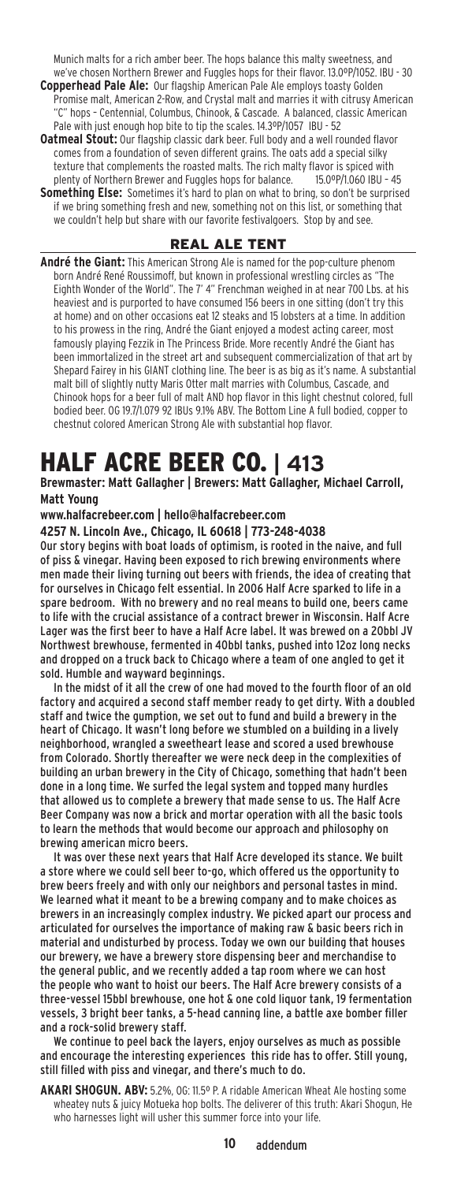Munich malts for a rich amber beer. The hops balance this malty sweetness, and we've chosen Northern Brewer and Fuggles hops for their flavor. 13.0ºP/1052. IBU - 30 **Copperhead Pale Ale:** Our flagship American Pale Ale employs toasty Golden

Promise malt, American 2-Row, and Crystal malt and marries it with citrusy American "C" hops – Centennial, Columbus, Chinook, & Cascade. A balanced, classic American Pale with just enough hop bite to tip the scales. 14.3ºP/1057 IBU - 52

**Oatmeal Stout:** Our flagship classic dark beer. Full body and a well rounded flavor comes from a foundation of seven different grains. The oats add a special silky texture that complements the roasted malts. The rich malty flavor is spiced with plenty of Northern Brewer and Fuggles hops for balance. 15.0ºP/1.060 IBU – 45

**Something Else:** Sometimes it's hard to plan on what to bring, so don't be surprised if we bring something fresh and new, something not on this list, or something that we couldn't help but share with our favorite festivalgoers. Stop by and see.

#### Real Ale tent

**André the Giant:** This American Strong Ale is named for the pop-culture phenom born André René Roussimoff, but known in professional wrestling circles as "The Eighth Wonder of the World". The 7' 4" Frenchman weighed in at near 700 Lbs. at his heaviest and is purported to have consumed 156 beers in one sitting (don't try this at home) and on other occasions eat 12 steaks and 15 lobsters at a time. In addition to his prowess in the ring, André the Giant enjoyed a modest acting career, most famously playing Fezzik in The Princess Bride. More recently André the Giant has been immortalized in the street art and subsequent commercialization of that art by Shepard Fairey in his GIANT clothing line. The beer is as big as it's name. A substantial malt bill of slightly nutty Maris Otter malt marries with Columbus, Cascade, and Chinook hops for a beer full of malt AND hop flavor in this light chestnut colored, full bodied beer. OG 19.7/1.079 92 IBUs 9.1% ABV. The Bottom Line A full bodied, copper to chestnut colored American Strong Ale with substantial hop flavor.

# Half Acre Beer Co. **| 413**

**Brewmaster: Matt Gallagher | Brewers: Matt Gallagher, Michael Carroll, Matt Young**

**www.halfacrebeer.com | hello@halfacrebeer.com**

**4257 N. Lincoln Ave., Chicago, IL 60618 | 773-248-4038**

Our story begins with boat loads of optimism, is rooted in the naive, and full of piss & vinegar. Having been exposed to rich brewing environments where men made their living turning out beers with friends, the idea of creating that for ourselves in Chicago felt essential. In 2006 Half Acre sparked to life in a spare bedroom. With no brewery and no real means to build one, beers came to life with the crucial assistance of a contract brewer in Wisconsin. Half Acre Lager was the first beer to have a Half Acre label. It was brewed on a 20bbl JV Northwest brewhouse, fermented in 40bbl tanks, pushed into 12oz long necks and dropped on a truck back to Chicago where a team of one angled to get it sold. Humble and wayward beginnings.

In the midst of it all the crew of one had moved to the fourth floor of an old factory and acquired a second staff member ready to get dirty. With a doubled staff and twice the gumption, we set out to fund and build a brewery in the heart of Chicago. It wasn't long before we stumbled on a building in a lively neighborhood, wrangled a sweetheart lease and scored a used brewhouse from Colorado. Shortly thereafter we were neck deep in the complexities of building an urban brewery in the City of Chicago, something that hadn't been done in a long time. We surfed the legal system and topped many hurdles that allowed us to complete a brewery that made sense to us. The Half Acre Beer Company was now a brick and mortar operation with all the basic tools to learn the methods that would become our approach and philosophy on brewing american micro beers.

It was over these next years that Half Acre developed its stance. We built a store where we could sell beer to-go, which offered us the opportunity to brew beers freely and with only our neighbors and personal tastes in mind. We learned what it meant to be a brewing company and to make choices as brewers in an increasingly complex industry. We picked apart our process and articulated for ourselves the importance of making raw & basic beers rich in material and undisturbed by process. Today we own our building that houses our brewery, we have a brewery store dispensing beer and merchandise to the general public, and we recently added a tap room where we can host the people who want to hoist our beers. The Half Acre brewery consists of a three-vessel 15bbl brewhouse, one hot & one cold liquor tank, 19 fermentation vessels, 3 bright beer tanks, a 5-head canning line, a battle axe bomber filler and a rock-solid brewery staff.

We continue to peel back the layers, enjoy ourselves as much as possible and encourage the interesting experiences this ride has to offer. Still young, still filled with piss and vinegar, and there's much to do.

**AKARI SHOGUN. ABV:** 5.2%, OG: 11.5º P. A ridable American Wheat Ale hosting some wheatey nuts & juicy Motueka hop bolts. The deliverer of this truth: Akari Shogun, He who harnesses light will usher this summer force into your life.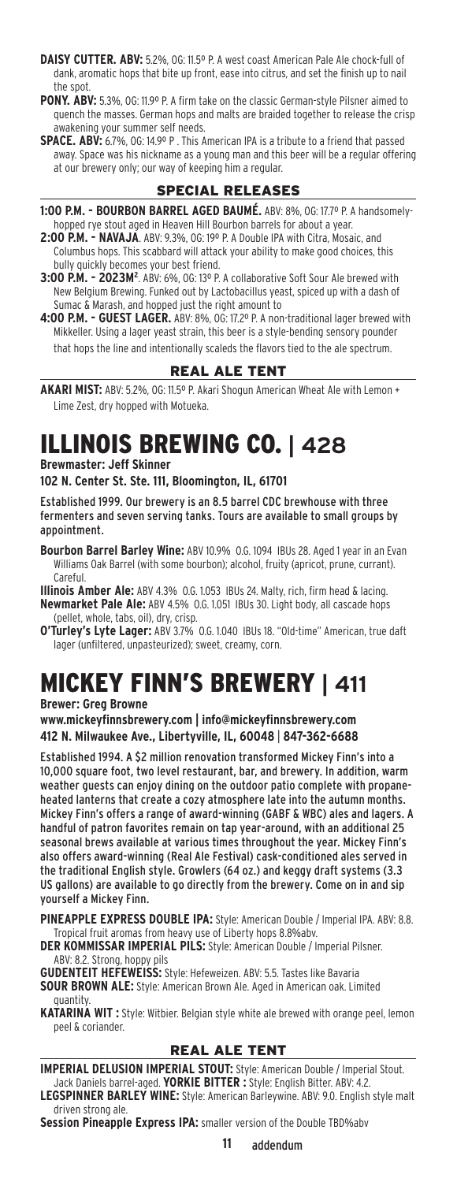- **DAISY CUTTER. ABV:** 5.2%, OG: 11.5º P. A west coast American Pale Ale chock-full of dank, aromatic hops that bite up front, ease into citrus, and set the finish up to nail the spot.
- **PONY. ABV:** 5.3%, OG: 11.9º P. A firm take on the classic German-style Pilsner aimed to quench the masses. German hops and malts are braided together to release the crisp awakening your summer self needs.
- **SPACE. ABV:** 6.7%, OG: 14.9º P . This American IPA is a tribute to a friend that passed away. Space was his nickname as a young man and this beer will be a regular offering at our brewery only; our way of keeping him a regular.

### Special ReleaseS

- **1:00 P.M. BOURBON BARREL AGED BAUMÉ.** ABV: 8%, OG: 17.7º P. A handsomelyhopped rye stout aged in Heaven Hill Bourbon barrels for about a year.
- **2:00 P.M. NAVAJA**. ABV: 9.3%, OG: 19º P. A Double IPA with Citra, Mosaic, and Columbus hops. This scabbard will attack your ability to make good choices, this bully quickly becomes your best friend.
- 3:00 P.M. 2023M<sup>2</sup>. ABV: 6%, OG: 13º P. A collaborative Soft Sour Ale brewed with New Belgium Brewing. Funked out by Lactobacillus yeast, spiced up with a dash of Sumac & Marash, and hopped just the right amount to
- **4:00 P.M. GUEST LAGER.** ABV: 8%, OG: 17.2º P. A non-traditional lager brewed with Mikkeller. Using a lager yeast strain, this beer is a style-bending sensory pounder that hops the line and intentionally scaleds the flavors tied to the ale spectrum.

### Real Ale tent

**AKARI MIST:** ABV: 5.2%, OG: 11.5º P. Akari Shogun American Wheat Ale with Lemon + Lime Zest, dry hopped with Motueka.

# Illinois Brewing Co. **| 428**

**Brewmaster: Jeff Skinner**

#### **102 N. Center St. Ste. 111, Bloomington, IL, 61701**

Established 1999. Our brewery is an 8.5 barrel CDC brewhouse with three fermenters and seven serving tanks. Tours are available to small groups by appointment.

**Bourbon Barrel Barley Wine:** ABV 10.9% O.G. 1094 IBUs 28. Aged 1 year in an Evan Williams Oak Barrel (with some bourbon); alcohol, fruity (apricot, prune, currant). Careful.

**Illinois Amber Ale:** ABV 4.3% O.G. 1.053 IBUs 24. Malty, rich, firm head & lacing. **Newmarket Pale Ale:** ABV 4.5% O.G. 1.051 IBUs 30. Light body, all cascade hops (pellet, whole, tabs, oil), dry, crisp.

**O'Turley's Lyte Lager:** ABV 3.7% O.G. 1.040 IBUs 18. "Old-time" American, true daft lager (unfiltered, unpasteurized); sweet, creamy, corn.

### Mickey Finn's Brewery **| 411 Brewer: Greg Browne**

**www.mickeyfinnsbrewery.com | info@mickeyfinnsbrewery.com 412 N. Milwaukee Ave., Libertyville, IL, 60048** | **847-362-6688**

Established 1994. A \$2 million renovation transformed Mickey Finn's into a 10,000 square foot, two level restaurant, bar, and brewery. In addition, warm weather guests can enjoy dining on the outdoor patio complete with propaneheated lanterns that create a cozy atmosphere late into the autumn months. Mickey Finn's offers a range of award-winning (GABF & WBC) ales and lagers. A handful of patron favorites remain on tap year-around, with an additional 25 seasonal brews available at various times throughout the year. Mickey Finn's also offers award-winning (Real Ale Festival) cask-conditioned ales served in the traditional English style. Growlers (64 oz.) and keggy draft systems (3.3 US gallons) are available to go directly from the brewery. Come on in and sip yourself a Mickey Finn.

**Pineapple Express Double IPA:** Style: American Double / Imperial IPA. ABV: 8.8. Tropical fruit aromas from heavy use of Liberty hops 8.8%abv.

**DER KOMMISSAR IMPERIAL PILS:** Style: American Double / Imperial Pilsner. ABV: 8.2. Strong, hoppy pils

**GUDENTEIT HEFEWEISS:** Style: Hefeweizen. ABV: 5.5. Tastes like Bavaria **Sour Brown Ale:** Style: American Brown Ale. Aged in American oak. Limited quantity.

**KATARINA WIT :** Style: Witbier. Belgian style white ale brewed with orange peel, lemon peel & coriander.

### Real Ale tent

**Imperial Delusion Imperial Stout:** Style: American Double / Imperial Stout. Jack Daniels barrel-aged. **Yorkie Bitter :** Style: English Bitter. ABV: 4.2. **Legspinner Barley Wine:** Style: American Barleywine. ABV: 9.0. English style malt driven strong ale.

**Session Pineapple Express IPA:** smaller version of the Double TBD%abv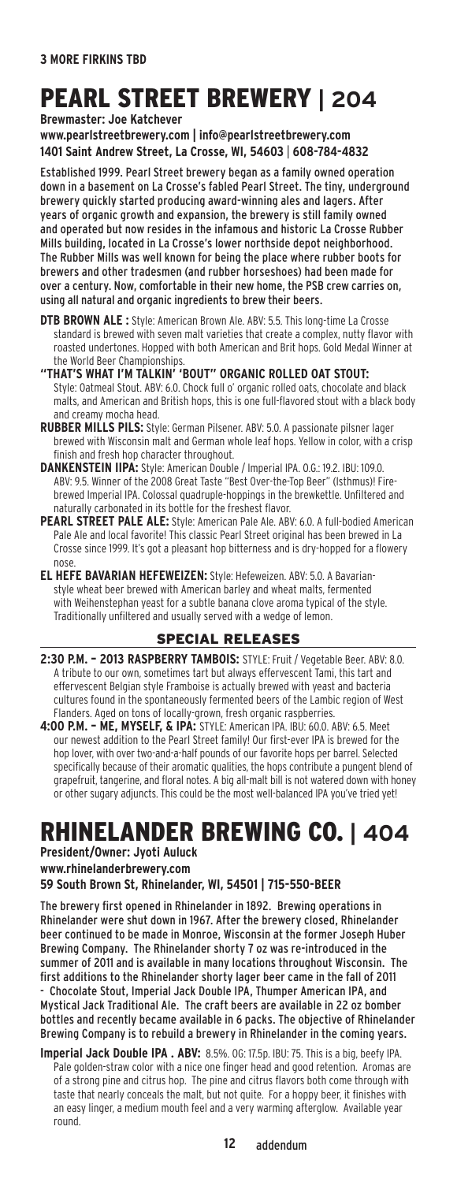# Pearl Street Brewery **| 204**

**Brewmaster: Joe Katchever** 

**www.pearlstreetbrewery.com | info@pearlstreetbrewery.com 1401 Saint Andrew Street, La Crosse, WI, 54603** | **608-784-4832**

Established 1999. Pearl Street brewery began as a family owned operation down in a basement on La Crosse's fabled Pearl Street. The tiny, underground brewery quickly started producing award-winning ales and lagers. After years of organic growth and expansion, the brewery is still family owned and operated but now resides in the infamous and historic La Crosse Rubber Mills building, located in La Crosse's lower northside depot neighborhood. The Rubber Mills was well known for being the place where rubber boots for brewers and other tradesmen (and rubber horseshoes) had been made for over a century. Now, comfortable in their new home, the PSB crew carries on, using all natural and organic ingredients to brew their beers.

**DTB BROWN ALE :** Style: American Brown Ale. ABV: 5.5. This long-time La Crosse standard is brewed with seven malt varieties that create a complex, nutty flavor with roasted undertones. Hopped with both American and Brit hops. Gold Medal Winner at the World Beer Championships.

**"That's What I'm Talkin' 'bout" Organic Rolled OAt Stout:** Style: Oatmeal Stout. ABV: 6.0. Chock full o' organic rolled oats, chocolate and black malts, and American and British hops, this is one full-flavored stout with a black body and creamy mocha head.

- **Rubber Mills Pils:** Style: German Pilsener. ABV: 5.0. A passionate pilsner lager brewed with Wisconsin malt and German whole leaf hops. Yellow in color, with a crisp finish and fresh hop character throughout.
- **Dankenstein IIPA:** Style: American Double / Imperial IPA. O.G.: 19.2. IBU: 109.0. ABV: 9.5. Winner of the 2008 Great Taste "Best Over-the-Top Beer" (Isthmus)! Firebrewed Imperial IPA. Colossal quadruple-hoppings in the brewkettle. Unfiltered and naturally carbonated in its bottle for the freshest flavor.
- PEARL STREET PALE ALE: Style: American Pale Ale. ABV: 6.0. A full-bodied American Pale Ale and local favorite! This classic Pearl Street original has been brewed in La Crosse since 1999. It's got a pleasant hop bitterness and is dry-hopped for a flowery nose.
- **El Hefe Bavarian Hefeweizen:** Style: Hefeweizen. ABV: 5.0. A Bavarianstyle wheat beer brewed with American barley and wheat malts, fermented with Weihenstephan yeast for a subtle banana clove aroma typical of the style. Traditionally unfiltered and usually served with a wedge of lemon.

### Special ReleaseS

- **2:30 P.M. 2013 Raspberry Tambois:** STYLE: Fruit / Vegetable Beer. ABV: 8.0. A tribute to our own, sometimes tart but always effervescent Tami, this tart and effervescent Belgian style Framboise is actually brewed with yeast and bacteria cultures found in the spontaneously fermented beers of the Lambic region of West Flanders. Aged on tons of locally-grown, fresh organic raspberries.
- **4:00 P.M. Me, Myself, & IPA:** STYLE: American IPA. IBU: 60.0. ABV: 6.5. Meet our newest addition to the Pearl Street family! Our first-ever IPA is brewed for the hop lover, with over two-and-a-half pounds of our favorite hops per barrel. Selected specifically because of their aromatic qualities, the hops contribute a pungent blend of grapefruit, tangerine, and floral notes. A big all-malt bill is not watered down with honey or other sugary adjuncts. This could be the most well-balanced IPA you've tried yet!

### Rhinelander Brewing Co. **| 404**

**President/Owner: Jyoti Auluck www.rhinelanderbrewery.com** 

**59 South Brown St, Rhinelander, WI, 54501 | 715-550-BEER**

The brewery first opened in Rhinelander in 1892. Brewing operations in Rhinelander were shut down in 1967. After the brewery closed, Rhinelander beer continued to be made in Monroe, Wisconsin at the former Joseph Huber Brewing Company. The Rhinelander shorty 7 oz was re-introduced in the summer of 2011 and is available in many locations throughout Wisconsin. The first additions to the Rhinelander shorty lager beer came in the fall of 2011 - Chocolate Stout, Imperial Jack Double IPA, Thumper American IPA, and Mystical Jack Traditional Ale. The craft beers are available in 22 oz bomber

bottles and recently became available in 6 packs. The objective of Rhinelander Brewing Company is to rebuild a brewery in Rhinelander in the coming years.

**Imperial Jack Double IPA . ABV:** 8.5%. OG: 17.5p. IBU: 75. This is a big, beefy IPA. Pale golden-straw color with a nice one finger head and good retention. Aromas are of a strong pine and citrus hop. The pine and citrus flavors both come through with taste that nearly conceals the malt, but not quite. For a hoppy beer, it finishes with an easy linger, a medium mouth feel and a very warming afterglow. Available year round.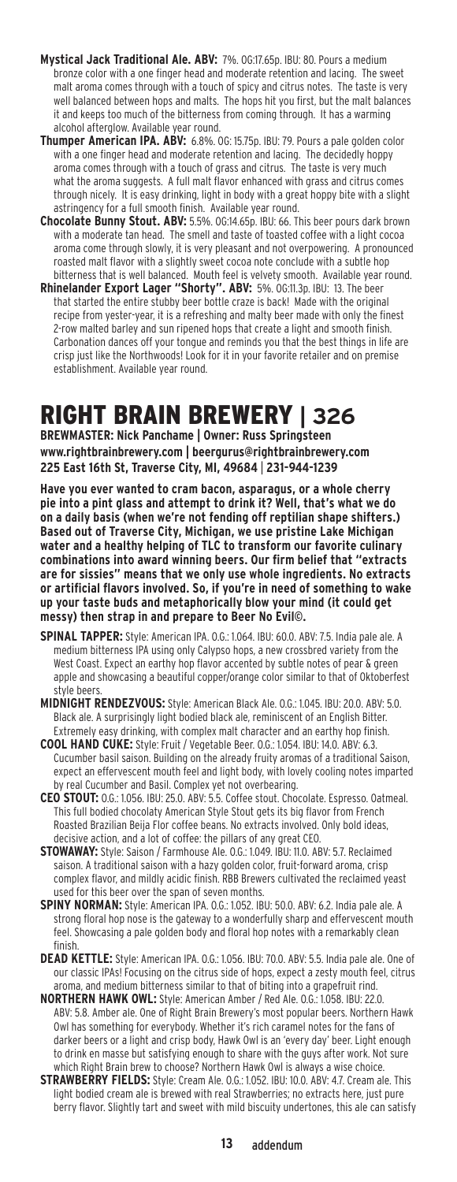- **Mystical Jack Traditional Ale. ABV:** 7%. OG:17.65p. IBU: 80. Pours a medium bronze color with a one finger head and moderate retention and lacing. The sweet malt aroma comes through with a touch of spicy and citrus notes. The taste is very well balanced between hops and malts. The hops hit you first, but the malt balances it and keeps too much of the bitterness from coming through. It has a warming alcohol afterglow. Available year round.
- **Thumper American IPA. ABV:** 6.8%. OG: 15.75p. IBU: 79. Pours a pale golden color with a one finger head and moderate retention and lacing. The decidedly hoppy aroma comes through with a touch of grass and citrus. The taste is very much what the aroma suggests. A full malt flavor enhanced with grass and citrus comes through nicely. It is easy drinking, light in body with a great hoppy bite with a slight astringency for a full smooth finish. Available year round.
- **Chocolate Bunny Stout. ABV:** 5.5%. OG:14.65p. IBU: 66. This beer pours dark brown with a moderate tan head. The smell and taste of toasted coffee with a light cocoa aroma come through slowly, it is very pleasant and not overpowering. A pronounced roasted malt flavor with a slightly sweet cocoa note conclude with a subtle hop bitterness that is well balanced. Mouth feel is velvety smooth. Available year round.
- **Rhinelander Export Lager "Shorty". ABV:** 5%. OG:11.3p. IBU: 13. The beer that started the entire stubby beer bottle craze is back! Made with the original recipe from yester-year, it is a refreshing and malty beer made with only the finest 2-row malted barley and sun ripened hops that create a light and smooth finish. Carbonation dances off your tongue and reminds you that the best things in life are crisp just like the Northwoods! Look for it in your favorite retailer and on premise establishment. Available year round.

# Right Brain Brewery **| 326**

**BREWMASTER: Nick Panchame | Owner: Russ Springsteen www.rightbrainbrewery.com | beergurus@rightbrainbrewery.com 225 East 16th St, Traverse City, MI, 49684** | **231-944-1239**

**Have you ever wanted to cram bacon, asparagus, or a whole cherry pie into a pint glass and attempt to drink it? Well, that's what we do on a daily basis (when we're not fending off reptilian shape shifters.) Based out of Traverse City, Michigan, we use pristine Lake Michigan water and a healthy helping of TLC to transform our favorite culinary combinations into award winning beers. Our firm belief that "extracts are for sissies" means that we only use whole ingredients. No extracts or artificial flavors involved. So, if you're in need of something to wake up your taste buds and metaphorically blow your mind (it could get messy) then strap in and prepare to Beer No Evil©.**

- **Spinal Tapper:** Style: American IPA. O.G.: 1.064. IBU: 60.0. ABV: 7.5. India pale ale. A medium bitterness IPA using only Calypso hops, a new crossbred variety from the West Coast. Expect an earthy hop flavor accented by subtle notes of pear & green apple and showcasing a beautiful copper/orange color similar to that of Oktoberfest style beers.
- **Midnight Rendezvous:** Style: American Black Ale. O.G.: 1.045. IBU: 20.0. ABV: 5.0. Black ale. A surprisingly light bodied black ale, reminiscent of an English Bitter. Extremely easy drinking, with complex malt character and an earthy hop finish.
- **Cool Hand Cuke:** Style: Fruit / Vegetable Beer. O.G.: 1.054. IBU: 14.0. ABV: 6.3. Cucumber basil saison. Building on the already fruity aromas of a traditional Saison, expect an effervescent mouth feel and light body, with lovely cooling notes imparted by real Cucumber and Basil. Complex yet not overbearing.
- **CEO Stout:** O.G.: 1.056. IBU: 25.0. ABV: 5.5. Coffee stout. Chocolate. Espresso. Oatmeal. This full bodied chocolaty American Style Stout gets its big flavor from French Roasted Brazilian Beija Flor coffee beans. No extracts involved. Only bold ideas, decisive action, and a lot of coffee: the pillars of any great CEO.
- **Stowaway:** Style: Saison / Farmhouse Ale. O.G.: 1.049. IBU: 11.0. ABV: 5.7. Reclaimed saison. A traditional saison with a hazy golden color, fruit-forward aroma, crisp complex flavor, and mildly acidic finish. RBB Brewers cultivated the reclaimed yeast used for this beer over the span of seven months.
- **Spiny Norman:** Style: American IPA. O.G.: 1.052. IBU: 50.0. ABV: 6.2. India pale ale. A strong floral hop nose is the gateway to a wonderfully sharp and effervescent mouth feel. Showcasing a pale golden body and floral hop notes with a remarkably clean finish.
- DEAD KETTLE: Style: American IPA. 0.G.: 1.056. IBU: 70.0. ABV: 5.5. India pale ale. One of our classic IPAs! Focusing on the citrus side of hops, expect a zesty mouth feel, citrus aroma, and medium bitterness similar to that of biting into a grapefruit rind.
- **Northern Hawk Owl:** Style: American Amber / Red Ale. O.G.: 1.058. IBU: 22.0. ABV: 5.8. Amber ale. One of Right Brain Brewery's most popular beers. Northern Hawk Owl has something for everybody. Whether it's rich caramel notes for the fans of darker beers or a light and crisp body, Hawk Owl is an 'every day' beer. Light enough to drink en masse but satisfying enough to share with the guys after work. Not sure which Right Brain brew to choose? Northern Hawk Owl is always a wise choice.
- **Strawberry Fields:** Style: Cream Ale. O.G.: 1.052. IBU: 10.0. ABV: 4.7. Cream ale. This light bodied cream ale is brewed with real Strawberries; no extracts here, just pure berry flavor. Slightly tart and sweet with mild biscuity undertones, this ale can satisfy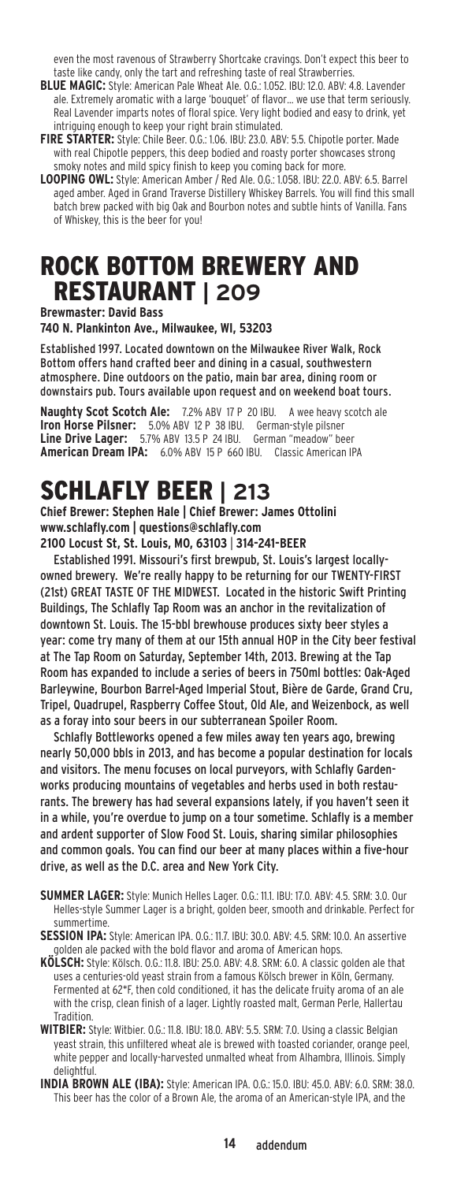even the most ravenous of Strawberry Shortcake cravings. Don't expect this beer to taste like candy, only the tart and refreshing taste of real Strawberries.

- **Blue Magic:** Style: American Pale Wheat Ale. O.G.: 1.052. IBU: 12.0. ABV: 4.8. Lavender ale. Extremely aromatic with a large 'bouquet' of flavor… we use that term seriously. Real Lavender imparts notes of floral spice. Very light bodied and easy to drink, yet intriguing enough to keep your right brain stimulated.
- **Fire Starter:** Style: Chile Beer. O.G.: 1.06. IBU: 23.0. ABV: 5.5. Chipotle porter. Made with real Chipotle peppers, this deep bodied and roasty porter showcases strong smoky notes and mild spicy finish to keep you coming back for more.
- **Looping Owl:** Style: American Amber / Red Ale. O.G.: 1.058. IBU: 22.0. ABV: 6.5. Barrel aged amber. Aged in Grand Traverse Distillery Whiskey Barrels. You will find this small batch brew packed with big Oak and Bourbon notes and subtle hints of Vanilla. Fans of Whiskey, this is the beer for you!

### Rock Bottom Brewery and restaurant **| 209**

**Brewmaster: David Bass**

**740 N. Plankinton Ave., Milwaukee, WI, 53203**

Established 1997. Located downtown on the Milwaukee River Walk, Rock Bottom offers hand crafted beer and dining in a casual, southwestern atmosphere. Dine outdoors on the patio, main bar area, dining room or downstairs pub. Tours available upon request and on weekend boat tours.

**Naughty Scot Scotch Ale:** 7.2% ABV 17 P 20 IBU. A wee heavy scotch ale **Iron Horse Pilsner:** 5.0% ABV 12 P 38 IBU. German-style pilsner **Line Drive Lager:** 5.7% ABV 13.5 P 24 IBU. German "meadow" beer **American Dream IPA:** 6.0% ABV 15 P 660 IBU. Classic American IPA

### Schlafly Beer **| 213**

**Chief Brewer: Stephen Hale | Chief Brewer: James Ottolini www.schlafly.com | questions@schlafly.com**

**2100 Locust St, St. Louis, MO, 63103** | **314-241-BEER**

Established 1991. Missouri's first brewpub, St. Louis's largest locallyowned brewery. We're really happy to be returning for our TWENTY-FIRST (21st) GREAT TASTE OF THE MIDWEST. Located in the historic Swift Printing Buildings, The Schlafly Tap Room was an anchor in the revitalization of downtown St. Louis. The 15-bbl brewhouse produces sixty beer styles a year: come try many of them at our 15th annual HOP in the City beer festival at The Tap Room on Saturday, September 14th, 2013. Brewing at the Tap Room has expanded to include a series of beers in 750ml bottles: Oak-Aged Barleywine, Bourbon Barrel-Aged Imperial Stout, Bière de Garde, Grand Cru, Tripel, Quadrupel, Raspberry Coffee Stout, Old Ale, and Weizenbock, as well as a foray into sour beers in our subterranean Spoiler Room.

Schlafly Bottleworks opened a few miles away ten years ago, brewing nearly 50,000 bbls in 2013, and has become a popular destination for locals and visitors. The menu focuses on local purveyors, with Schlafly Gardenworks producing mountains of vegetables and herbs used in both restaurants. The brewery has had several expansions lately, if you haven't seen it in a while, you're overdue to jump on a tour sometime. Schlafly is a member and ardent supporter of Slow Food St. Louis, sharing similar philosophies and common goals. You can find our beer at many places within a five-hour drive, as well as the D.C. area and New York City.

- **Summer Lager:** Style: Munich Helles Lager. O.G.: 11.1. IBU: 17.0. ABV: 4.5. SRM: 3.0. Our Helles-style Summer Lager is a bright, golden beer, smooth and drinkable. Perfect for summertime.
- **Session IPA:** Style: American IPA. O.G.: 11.7. IBU: 30.0. ABV: 4.5. SRM: 10.0. An assertive golden ale packed with the bold flavor and aroma of American hops.
- **Kölsch:** Style: Kölsch. O.G.: 11.8. IBU: 25.0. ABV: 4.8. SRM: 6.0. A classic golden ale that uses a centuries-old yeast strain from a famous Kölsch brewer in Köln, Germany. Fermented at 62\*F, then cold conditioned, it has the delicate fruity aroma of an ale with the crisp, clean finish of a lager. Lightly roasted malt, German Perle, Hallertau Tradition.
- **Witbier:** Style: Witbier. O.G.: 11.8. IBU: 18.0. ABV: 5.5. SRM: 7.0. Using a classic Belgian yeast strain, this unfiltered wheat ale is brewed with toasted coriander, orange peel, white pepper and locally-harvested unmalted wheat from Alhambra, Illinois. Simply delightful.
- **India Brown Ale (IBA):** Style: American IPA. O.G.: 15.0. IBU: 45.0. ABV: 6.0. SRM: 38.0. This beer has the color of a Brown Ale, the aroma of an American-style IPA, and the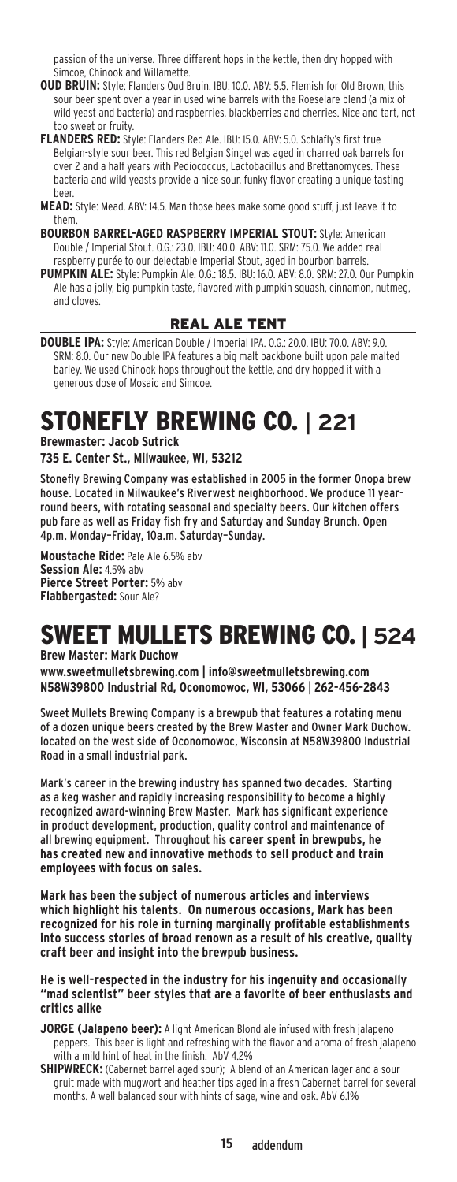passion of the universe. Three different hops in the kettle, then dry hopped with Simcoe, Chinook and Willamette.

- **OUD BRUIN:** Style: Flanders Oud Bruin. IBU: 10.0. ABV: 5.5. Flemish for Old Brown, this sour beer spent over a year in used wine barrels with the Roeselare blend (a mix of wild yeast and bacteria) and raspberries, blackberries and cherries. Nice and tart, not too sweet or fruity.
- **Flanders Red:** Style: Flanders Red Ale. IBU: 15.0. ABV: 5.0. Schlafly's first true Belgian-style sour beer. This red Belgian Singel was aged in charred oak barrels for over 2 and a half years with Pediococcus, Lactobacillus and Brettanomyces. These bacteria and wild yeasts provide a nice sour, funky flavor creating a unique tasting beer.
- **Mead:** Style: Mead. ABV: 14.5. Man those bees make some good stuff, just leave it to them.
- **Bourbon barrel-aged Raspberry Imperial Stout:** Style: American Double / Imperial Stout. O.G.: 23.0. IBU: 40.0. ABV: 11.0. SRM: 75.0. We added real raspberry purée to our delectable Imperial Stout, aged in bourbon barrels. **Pumpkin Ale:** Style: Pumpkin Ale. O.G.: 18.5. IBU: 16.0. ABV: 8.0. SRM: 27.0. Our Pumpkin
	- Ale has a jolly, big pumpkin taste, flavored with pumpkin squash, cinnamon, nutmeg, and cloves.

### Real Ale tent

**Double IPA:** Style: American Double / Imperial IPA. O.G.: 20.0. IBU: 70.0. ABV: 9.0. SRM: 8.0. Our new Double IPA features a big malt backbone built upon pale malted barley. We used Chinook hops throughout the kettle, and dry hopped it with a generous dose of Mosaic and Simcoe.

# Stonefly Brewing Co. **| 221**

**Brewmaster: Jacob Sutrick**

**735 E. Center St., Milwaukee, WI, 53212**

Stonefly Brewing Company was established in 2005 in the former Onopa brew house. Located in Milwaukee's Riverwest neighborhood. We produce 11 yearround beers, with rotating seasonal and specialty beers. Our kitchen offers pub fare as well as Friday fish fry and Saturday and Sunday Brunch. Open 4p.m. Monday–Friday, 10a.m. Saturday–Sunday.

**Moustache Ride:** Pale Ale 6.5% abv **Session Ale:** 4.5% abv **Pierce Street Porter:** 5% abv **Flabbergasted:** Sour Ale?

### Sweet Mullets Brewing Co. **| 524**

**Brew Master: Mark Duchow** 

**www.sweetmulletsbrewing.com | info@sweetmulletsbrewing.com N58W39800 Industrial Rd, Oconomowoc, WI, 53066** | **262-456-2843**

Sweet Mullets Brewing Company is a brewpub that features a rotating menu of a dozen unique beers created by the Brew Master and Owner Mark Duchow. located on the west side of Oconomowoc, Wisconsin at N58W39800 Industrial Road in a small industrial park.

Mark's career in the brewing industry has spanned two decades. Starting as a keg washer and rapidly increasing responsibility to become a highly recognized award-winning Brew Master. Mark has significant experience in product development, production, quality control and maintenance of all brewing equipment. Throughout his **career spent in brewpubs, he has created new and innovative methods to sell product and train employees with focus on sales.**

**Mark has been the subject of numerous articles and interviews which highlight his talents. On numerous occasions, Mark has been recognized for his role in turning marginally profitable establishments into success stories of broad renown as a result of his creative, quality craft beer and insight into the brewpub business.** 

**He is well-respected in the industry for his ingenuity and occasionally "mad scientist" beer styles that are a favorite of beer enthusiasts and critics alike**

- **JORGE (Jalapeno beer):** A light American Blond ale infused with fresh jalapeno peppers. This beer is light and refreshing with the flavor and aroma of fresh jalapeno with a mild hint of heat in the finish. AbV 4.2%
- **SHIPWRECK:** (Cabernet barrel aged sour); A blend of an American lager and a sour gruit made with mugwort and heather tips aged in a fresh Cabernet barrel for several months. A well balanced sour with hints of sage, wine and oak. AbV 6.1%